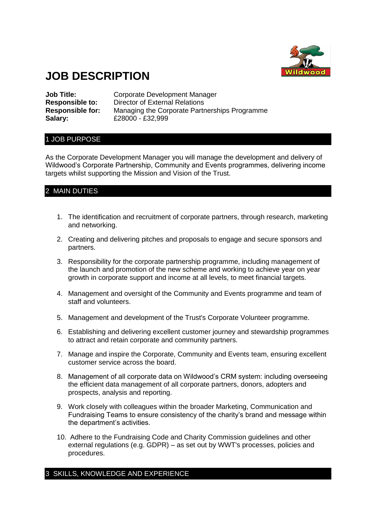

# **JOB DESCRIPTION**

**Salary:** £28000 - £32,999

**Job Title:** Corporate Development Manager **Responsible to:** Director of External Relations **Responsible for:** Managing the Corporate Partnerships Programme

## 1 JOB PURPOSE

As the Corporate Development Manager you will manage the development and delivery of Wildwood's Corporate Partnership, Community and Events programmes, delivering income targets whilst supporting the Mission and Vision of the Trust.

# 2 MAIN DUTIES

- 1. The identification and recruitment of corporate partners, through research, marketing and networking.
- 2. Creating and delivering pitches and proposals to engage and secure sponsors and partners.
- 3. Responsibility for the corporate partnership programme, including management of the launch and promotion of the new scheme and working to achieve year on year growth in corporate support and income at all levels, to meet financial targets.
- 4. Management and oversight of the Community and Events programme and team of staff and volunteers.
- 5. Management and development of the Trust's Corporate Volunteer programme.
- 6. Establishing and delivering excellent customer journey and stewardship programmes to attract and retain corporate and community partners.
- 7. Manage and inspire the Corporate, Community and Events team, ensuring excellent customer service across the board.
- 8. Management of all corporate data on Wildwood's CRM system: including overseeing the efficient data management of all corporate partners, donors, adopters and prospects, analysis and reporting.
- 9. Work closely with colleagues within the broader Marketing, Communication and Fundraising Teams to ensure consistency of the charity's brand and message within the department's activities.
- 10. Adhere to the Fundraising Code and Charity Commission guidelines and other external regulations (e.g. GDPR) – as set out by WWT's processes, policies and procedures.

# 3 SKILLS, KNOWLEDGE AND EXPERIENCE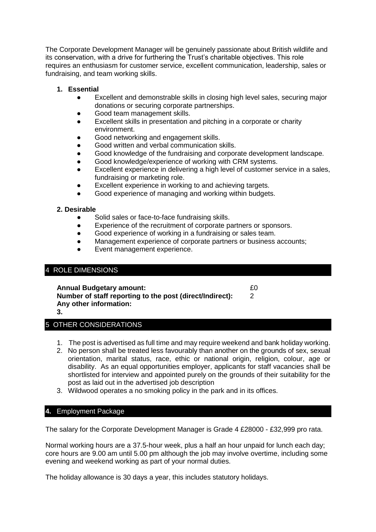The Corporate Development Manager will be genuinely passionate about British wildlife and its conservation, with a drive for furthering the Trust's charitable objectives. This role requires an enthusiasm for customer service, excellent communication, leadership, sales or fundraising, and team working skills.

## **1. Essential**

- Excellent and demonstrable skills in closing high level sales, securing major donations or securing corporate partnerships.
- Good team management skills.
- Excellent skills in presentation and pitching in a corporate or charity environment.
- Good networking and engagement skills.
- Good written and verbal communication skills.
- Good knowledge of the fundraising and corporate development landscape.
- Good knowledge/experience of working with CRM systems.
- Excellent experience in delivering a high level of customer service in a sales, fundraising or marketing role.
- Excellent experience in working to and achieving targets.
- Good experience of managing and working within budgets.

#### **2. Desirable**

- Solid sales or face-to-face fundraising skills.
- Experience of the recruitment of corporate partners or sponsors.
- Good experience of working in a fundraising or sales team.
- Management experience of corporate partners or business accounts;
- Event management experience.

## 4 ROLE DIMENSIONS

**Annual Budgetary amount:**  $£0$ **Number of staff reporting to the post (direct/Indirect):** 2 **Any other information:**

**3.**

# 5 OTHER CONSIDERATIONS

- 1. The post is advertised as full time and may require weekend and bank holiday working.
- 2. No person shall be treated less favourably than another on the grounds of sex, sexual orientation, marital status, race, ethic or national origin, religion, colour, age or disability. As an equal opportunities employer, applicants for staff vacancies shall be shortlisted for interview and appointed purely on the grounds of their suitability for the post as laid out in the advertised job description
- 3. Wildwood operates a no smoking policy in the park and in its offices.

# **4.** Employment Package

The salary for the Corporate Development Manager is Grade 4 £28000 - £32,999 pro rata.

Normal working hours are a 37.5-hour week, plus a half an hour unpaid for lunch each day; core hours are 9.00 am until 5.00 pm although the job may involve overtime, including some evening and weekend working as part of your normal duties.

The holiday allowance is 30 days a year, this includes statutory holidays.